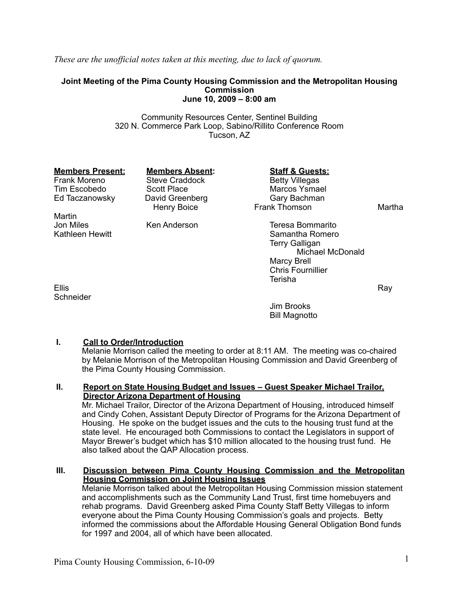*These are the unofficial notes taken at this meeting, due to lack of quorum.*

#### **Joint Meeting of the Pima County Housing Commission and the Metropolitan Housing Commission June 10, 2009 – 8:00 am**

Community Resources Center, Sentinel Building 320 N. Commerce Park Loop, Sabino/Rillito Conference Room Tucson, AZ

Frank Moreno Steve Craddock<br>Tim Escobedo Scott Place

Martin<br>Jon Miles

Ed Taczanowsky David Greenber<br>Henry Boice

**Members Present: Members Absent: Staff & Guests:**<br>
Frank Moreno Steve Craddock Betty Villegas Scott Place Marcos Ysmael<br>
David Greenberg<br>
Cary Bachman Frank Thomson Martha

Jon Miles Ken Anderson Teresa Bommarito Kathleen Hewitt **Samantha Romero** Samantha Romero Terry Galligan Michael McDonald Marcy Brell Chris Fournillier Terisha

Ellis Ray Roman Research Contract Contract Contract Contract Contract Contract Contract Contract Contract Contract Contract Contract Contract Contract Contract Contract Contract Contract Contract Contract Contract Contract **Schneider** 

Jim Brooks Bill Magnotto

# **I. Call to Order/Introduction**

Melanie Morrison called the meeting to order at 8:11 AM. The meeting was co-chaired by Melanie Morrison of the Metropolitan Housing Commission and David Greenberg of the Pima County Housing Commission.

#### **II. Report on State Housing Budget and Issues – Guest Speaker Michael Trailor, Director Arizona Department of Housing**

Mr. Michael Trailor, Director of the Arizona Department of Housing, introduced himself and Cindy Cohen, Assistant Deputy Director of Programs for the Arizona Department of Housing. He spoke on the budget issues and the cuts to the housing trust fund at the state level. He encouraged both Commissions to contact the Legislators in support of Mayor Brewer's budget which has \$10 million allocated to the housing trust fund. He also talked about the QAP Allocation process.

# **III. Discussion between Pima County Housing Commission and the Metropolitan Housing Commission on Joint Housing Issues**

Melanie Morrison talked about the Metropolitan Housing Commission mission statement and accomplishments such as the Community Land Trust, first time homebuyers and rehab programs. David Greenberg asked Pima County Staff Betty Villegas to inform everyone about the Pima County Housing Commission's goals and projects. Betty informed the commissions about the Affordable Housing General Obligation Bond funds for 1997 and 2004, all of which have been allocated.